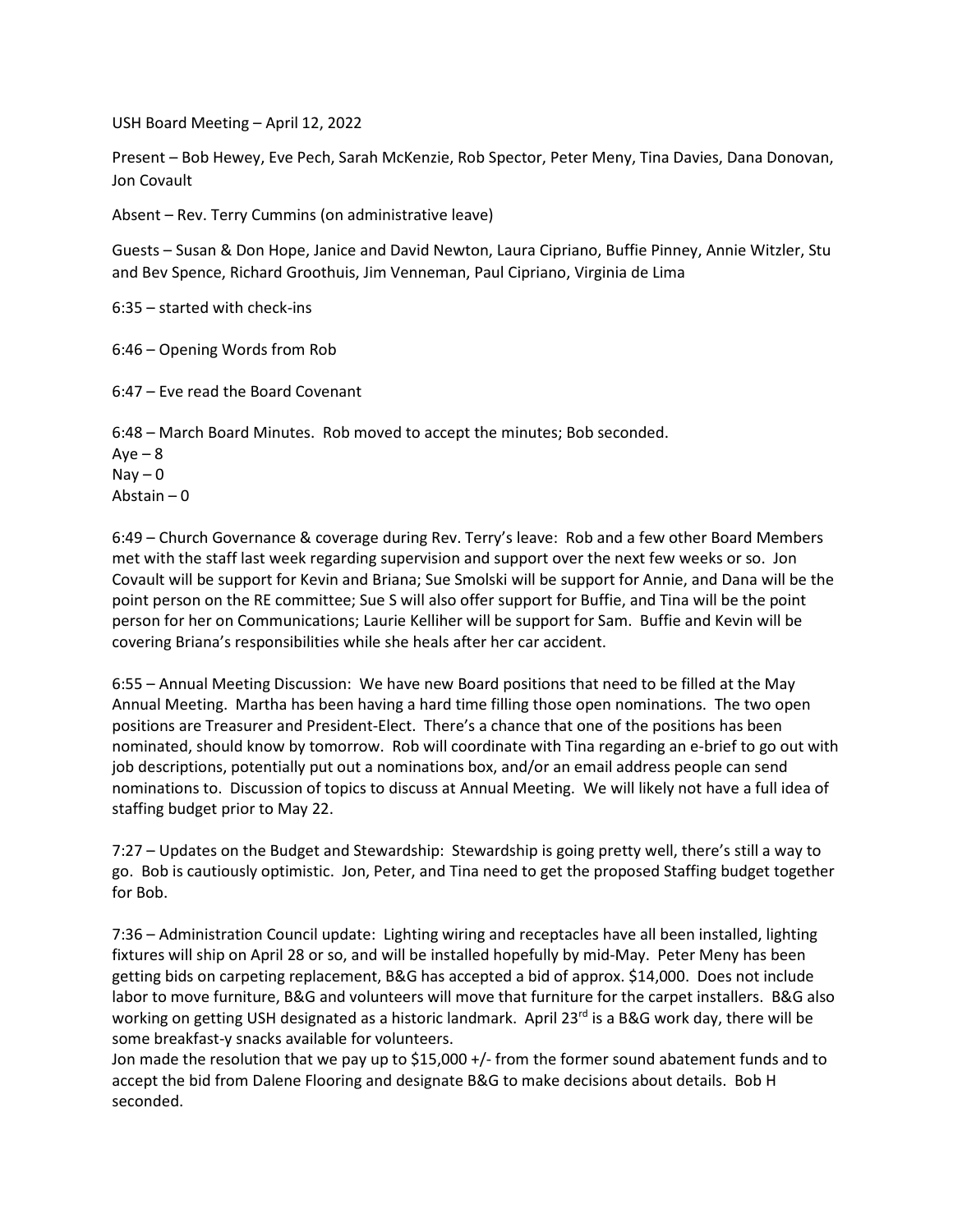USH Board Meeting – April 12, 2022

Present – Bob Hewey, Eve Pech, Sarah McKenzie, Rob Spector, Peter Meny, Tina Davies, Dana Donovan, Jon Covault

Absent – Rev. Terry Cummins (on administrative leave)

Guests – Susan & Don Hope, Janice and David Newton, Laura Cipriano, Buffie Pinney, Annie Witzler, Stu and Bev Spence, Richard Groothuis, Jim Venneman, Paul Cipriano, Virginia de Lima

6:35 – started with check-ins

6:46 – Opening Words from Rob

6:47 – Eve read the Board Covenant

6:48 – March Board Minutes. Rob moved to accept the minutes; Bob seconded.  $Aye - 8$  $\text{Nay} - 0$ Abstain – 0

6:49 – Church Governance & coverage during Rev. Terry's leave: Rob and a few other Board Members met with the staff last week regarding supervision and support over the next few weeks or so. Jon Covault will be support for Kevin and Briana; Sue Smolski will be support for Annie, and Dana will be the point person on the RE committee; Sue S will also offer support for Buffie, and Tina will be the point person for her on Communications; Laurie Kelliher will be support for Sam. Buffie and Kevin will be covering Briana's responsibilities while she heals after her car accident.

6:55 – Annual Meeting Discussion: We have new Board positions that need to be filled at the May Annual Meeting. Martha has been having a hard time filling those open nominations. The two open positions are Treasurer and President-Elect. There's a chance that one of the positions has been nominated, should know by tomorrow. Rob will coordinate with Tina regarding an e-brief to go out with job descriptions, potentially put out a nominations box, and/or an email address people can send nominations to. Discussion of topics to discuss at Annual Meeting. We will likely not have a full idea of staffing budget prior to May 22.

7:27 – Updates on the Budget and Stewardship: Stewardship is going pretty well, there's still a way to go. Bob is cautiously optimistic. Jon, Peter, and Tina need to get the proposed Staffing budget together for Bob.

7:36 – Administration Council update: Lighting wiring and receptacles have all been installed, lighting fixtures will ship on April 28 or so, and will be installed hopefully by mid-May. Peter Meny has been getting bids on carpeting replacement, B&G has accepted a bid of approx. \$14,000. Does not include labor to move furniture, B&G and volunteers will move that furniture for the carpet installers. B&G also working on getting USH designated as a historic landmark. April 23<sup>rd</sup> is a B&G work day, there will be some breakfast-y snacks available for volunteers.

Jon made the resolution that we pay up to \$15,000 +/- from the former sound abatement funds and to accept the bid from Dalene Flooring and designate B&G to make decisions about details. Bob H seconded.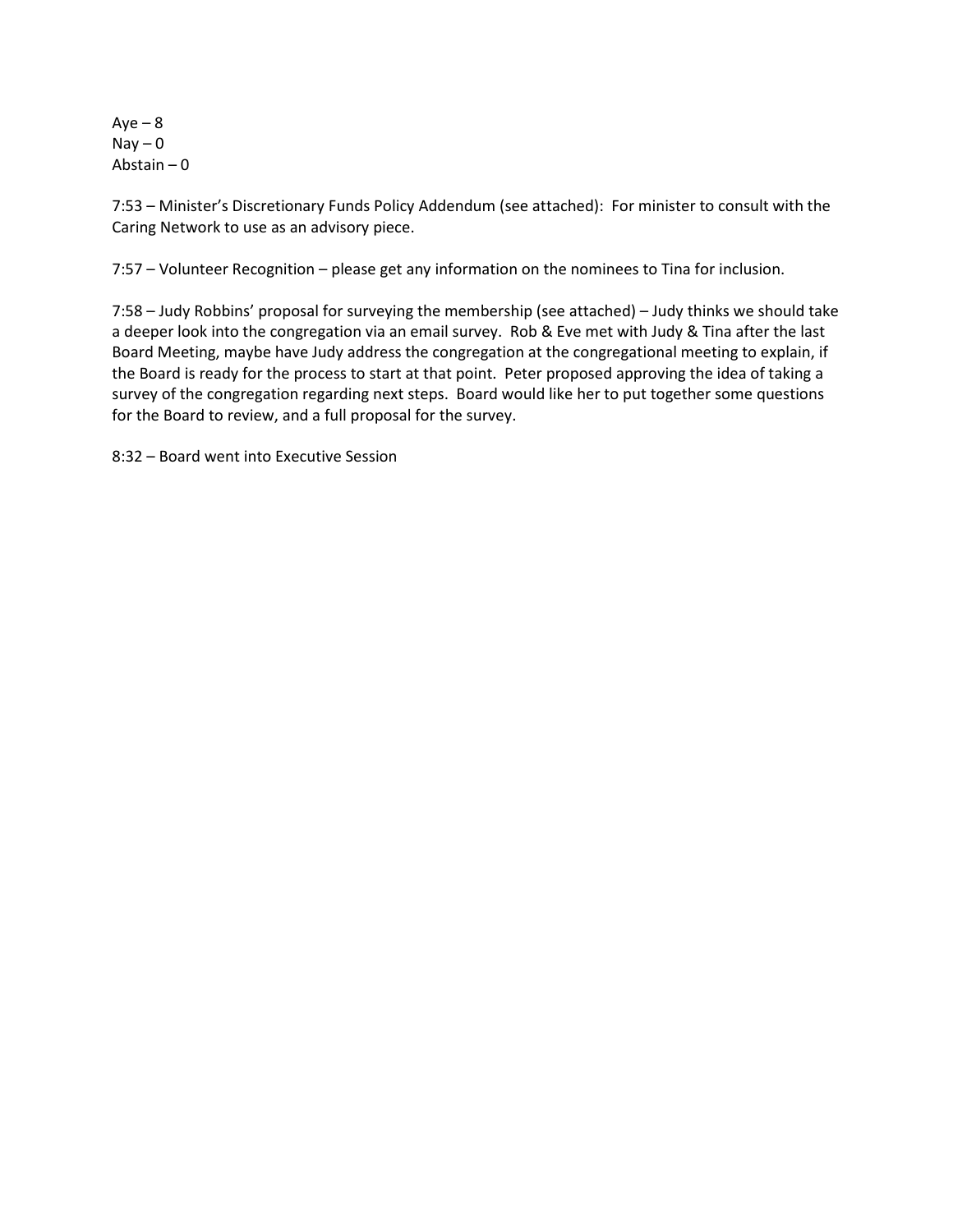$Aye - 8$  $Nay - 0$ Abstain – 0

7:53 – Minister's Discretionary Funds Policy Addendum (see attached): For minister to consult with the Caring Network to use as an advisory piece.

7:57 – Volunteer Recognition – please get any information on the nominees to Tina for inclusion.

7:58 – Judy Robbins' proposal for surveying the membership (see attached) – Judy thinks we should take a deeper look into the congregation via an email survey. Rob & Eve met with Judy & Tina after the last Board Meeting, maybe have Judy address the congregation at the congregational meeting to explain, if the Board is ready for the process to start at that point. Peter proposed approving the idea of taking a survey of the congregation regarding next steps. Board would like her to put together some questions for the Board to review, and a full proposal for the survey.

8:32 – Board went into Executive Session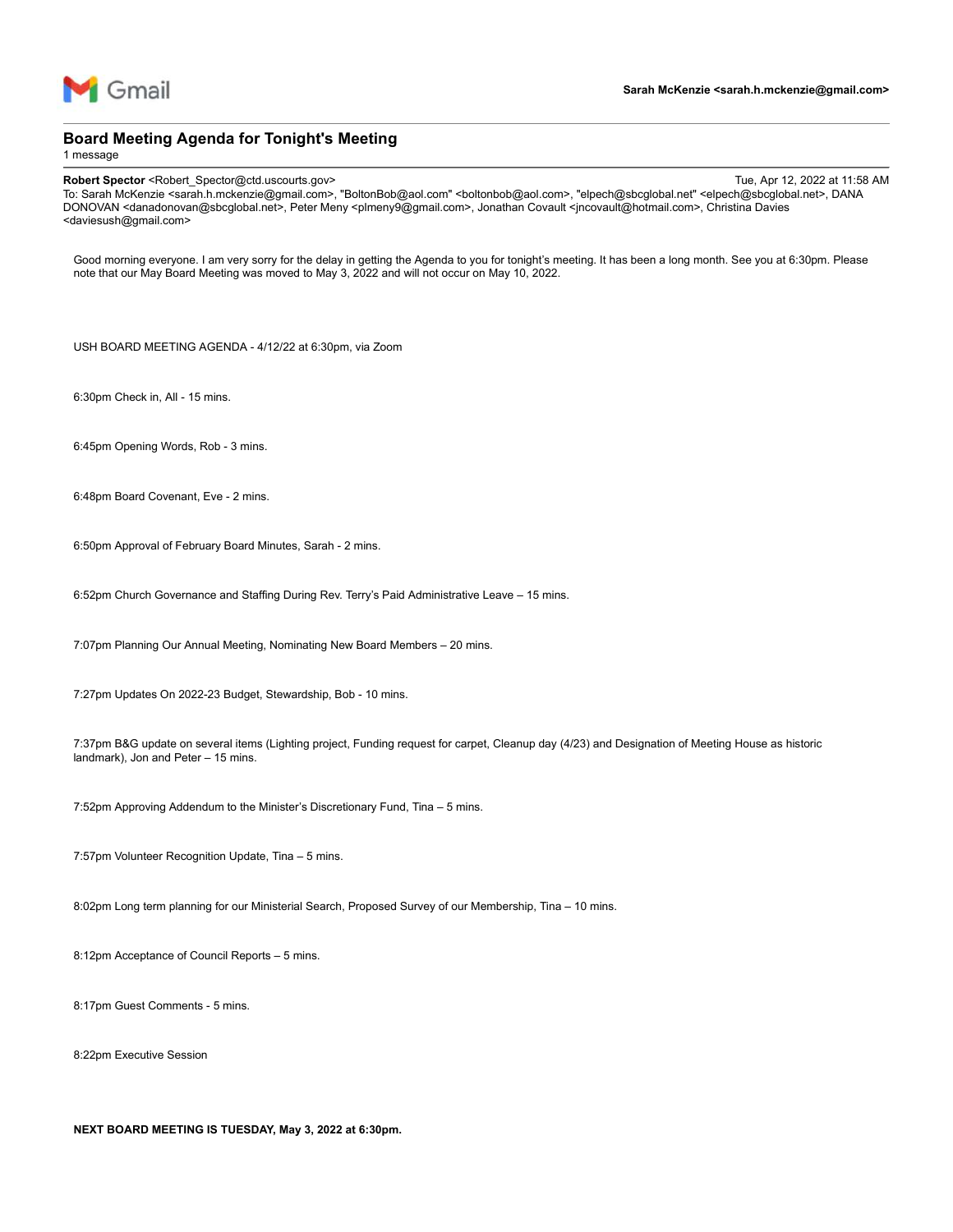

#### **Board Meeting Agenda for Tonight's Meeting**

1 message

**Robert Spector** <Robert\_Spector@ctd.uscourts.gov> Tue, Apr 12, 2022 at 11:58 AM To: Sarah McKenzie <sarah.h.mckenzie@gmail.com>, "BoltonBob@aol.com" <boltonbob@aol.com>, "elpech@sbcglobal.net" <elpech@sbcglobal.net>, DANA DONOVAN <danadonovan@sbcglobal.net>, Peter Meny <plmeny9@gmail.com>, Jonathan Covault <jncovault@hotmail.com>, Christina Davies <daviesush@gmail.com>

Good morning everyone. I am very sorry for the delay in getting the Agenda to you for tonight's meeting. It has been a long month. See you at 6:30pm. Please note that our May Board Meeting was moved to May 3, 2022 and will not occur on May 10, 2022.

USH BOARD MEETING AGENDA - 4/12/22 at 6:30pm, via Zoom

6:30pm Check in, All - 15 mins.

6:45pm Opening Words, Rob - 3 mins.

6:48pm Board Covenant, Eve - 2 mins.

6:50pm Approval of February Board Minutes, Sarah - 2 mins.

6:52pm Church Governance and Staffing During Rev. Terry's Paid Administrative Leave – 15 mins.

7:07pm Planning Our Annual Meeting, Nominating New Board Members – 20 mins.

7:27pm Updates On 2022-23 Budget, Stewardship, Bob - 10 mins.

7:37pm B&G update on several items (Lighting project, Funding request for carpet, Cleanup day (4/23) and Designation of Meeting House as historic landmark), Jon and Peter – 15 mins.

7:52pm Approving Addendum to the Minister's Discretionary Fund, Tina – 5 mins.

7:57pm Volunteer Recognition Update, Tina – 5 mins.

8:02pm Long term planning for our Ministerial Search, Proposed Survey of our Membership, Tina – 10 mins.

8:12pm Acceptance of Council Reports – 5 mins.

8:17pm Guest Comments - 5 mins.

8:22pm Executive Session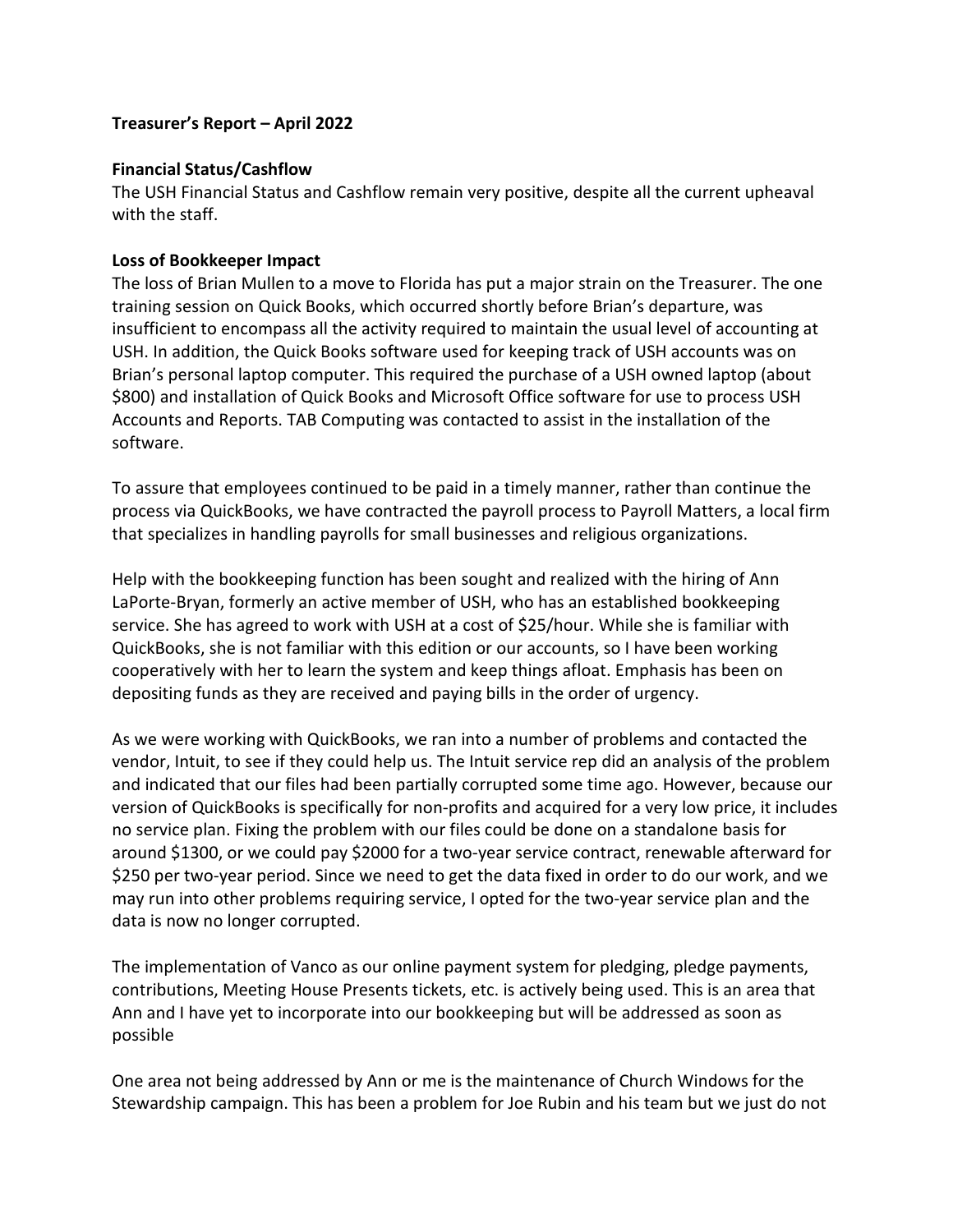### **Treasurer's Report – April 2022**

#### **Financial Status/Cashflow**

The USH Financial Status and Cashflow remain very positive, despite all the current upheaval with the staff.

#### **Loss of Bookkeeper Impact**

The loss of Brian Mullen to a move to Florida has put a major strain on the Treasurer. The one training session on Quick Books, which occurred shortly before Brian's departure, was insufficient to encompass all the activity required to maintain the usual level of accounting at USH. In addition, the Quick Books software used for keeping track of USH accounts was on Brian's personal laptop computer. This required the purchase of a USH owned laptop (about \$800) and installation of Quick Books and Microsoft Office software for use to process USH Accounts and Reports. TAB Computing was contacted to assist in the installation of the software.

To assure that employees continued to be paid in a timely manner, rather than continue the process via QuickBooks, we have contracted the payroll process to Payroll Matters, a local firm that specializes in handling payrolls for small businesses and religious organizations.

Help with the bookkeeping function has been sought and realized with the hiring of Ann LaPorte-Bryan, formerly an active member of USH, who has an established bookkeeping service. She has agreed to work with USH at a cost of \$25/hour. While she is familiar with QuickBooks, she is not familiar with this edition or our accounts, so I have been working cooperatively with her to learn the system and keep things afloat. Emphasis has been on depositing funds as they are received and paying bills in the order of urgency.

As we were working with QuickBooks, we ran into a number of problems and contacted the vendor, Intuit, to see if they could help us. The Intuit service rep did an analysis of the problem and indicated that our files had been partially corrupted some time ago. However, because our version of QuickBooks is specifically for non-profits and acquired for a very low price, it includes no service plan. Fixing the problem with our files could be done on a standalone basis for around \$1300, or we could pay \$2000 for a two-year service contract, renewable afterward for \$250 per two-year period. Since we need to get the data fixed in order to do our work, and we may run into other problems requiring service, I opted for the two-year service plan and the data is now no longer corrupted.

The implementation of Vanco as our online payment system for pledging, pledge payments, contributions, Meeting House Presents tickets, etc. is actively being used. This is an area that Ann and I have yet to incorporate into our bookkeeping but will be addressed as soon as possible

One area not being addressed by Ann or me is the maintenance of Church Windows for the Stewardship campaign. This has been a problem for Joe Rubin and his team but we just do not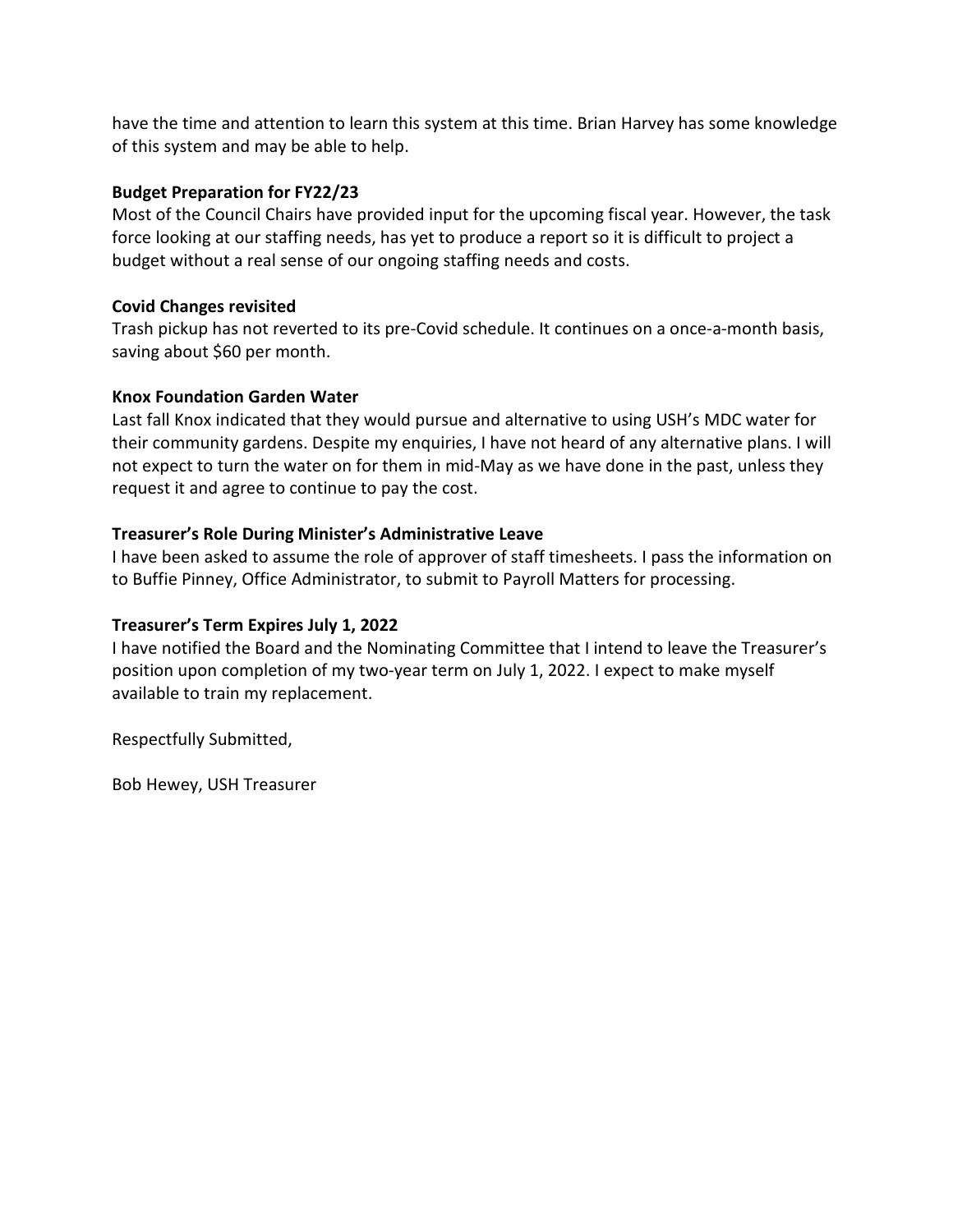have the time and attention to learn this system at this time. Brian Harvey has some knowledge of this system and may be able to help.

### **Budget Preparation for FY22/23**

Most of the Council Chairs have provided input for the upcoming fiscal year. However, the task force looking at our staffing needs, has yet to produce a report so it is difficult to project a budget without a real sense of our ongoing staffing needs and costs.

### **Covid Changes revisited**

Trash pickup has not reverted to its pre-Covid schedule. It continues on a once-a-month basis, saving about \$60 per month.

### **Knox Foundation Garden Water**

Last fall Knox indicated that they would pursue and alternative to using USH's MDC water for their community gardens. Despite my enquiries, I have not heard of any alternative plans. I will not expect to turn the water on for them in mid-May as we have done in the past, unless they request it and agree to continue to pay the cost.

### **Treasurer's Role During Minister's Administrative Leave**

I have been asked to assume the role of approver of staff timesheets. I pass the information on to Buffie Pinney, Office Administrator, to submit to Payroll Matters for processing.

### **Treasurer's Term Expires July 1, 2022**

I have notified the Board and the Nominating Committee that I intend to leave the Treasurer's position upon completion of my two-year term on July 1, 2022. I expect to make myself available to train my replacement.

Respectfully Submitted,

Bob Hewey, USH Treasurer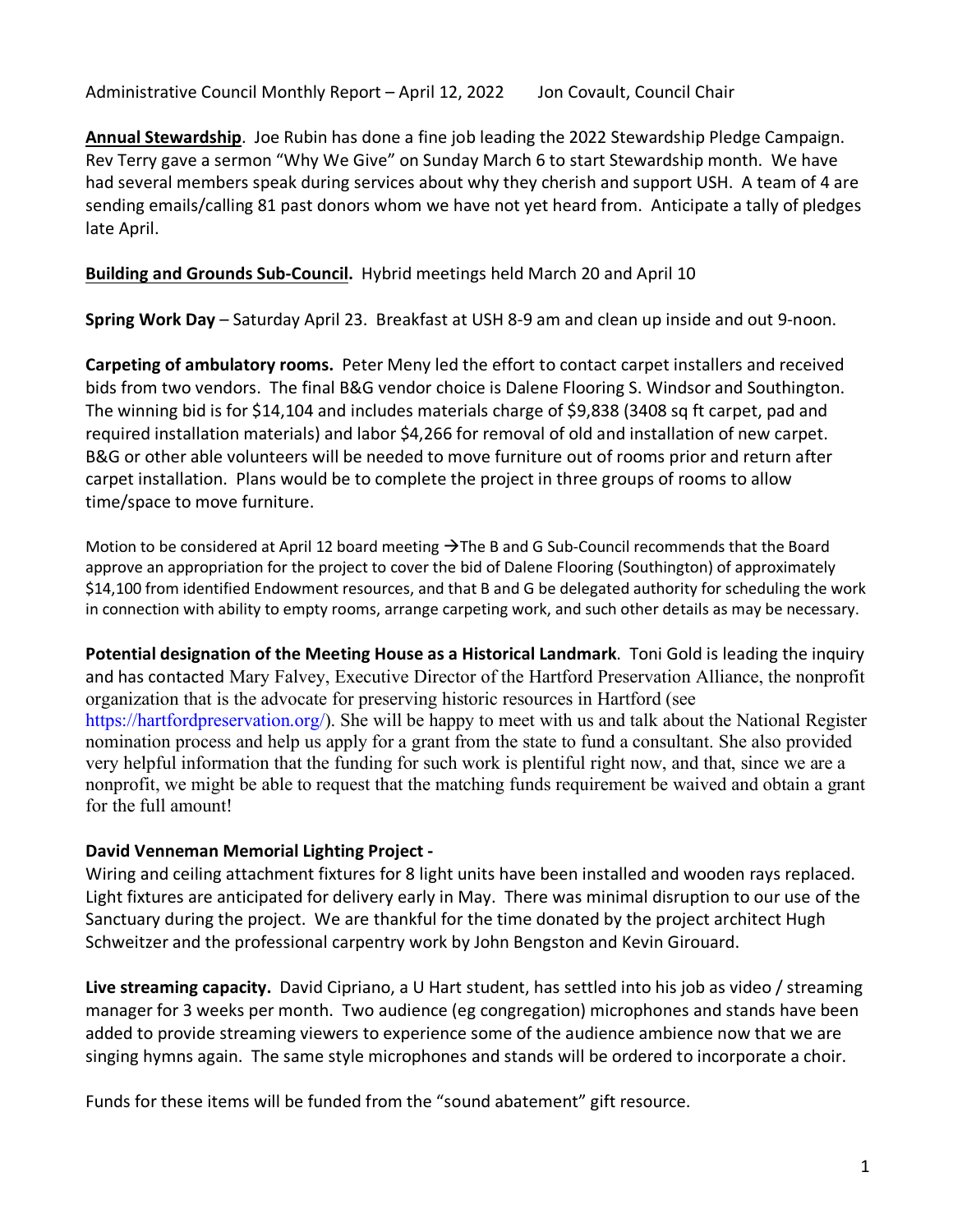Administrative Council Monthly Report - April 12, 2022 Jon Covault, Council Chair

**Annual Stewardship**. Joe Rubin has done a fine job leading the 2022 Stewardship Pledge Campaign. Rev Terry gave a sermon "Why We Give" on Sunday March 6 to start Stewardship month. We have had several members speak during services about why they cherish and support USH. A team of 4 are sending emails/calling 81 past donors whom we have not yet heard from. Anticipate a tally of pledges late April.

**Building and Grounds Sub-Council.** Hybrid meetings held March 20 and April 10

**Spring Work Day** – Saturday April 23. Breakfast at USH 8-9 am and clean up inside and out 9-noon.

**Carpeting of ambulatory rooms.** Peter Meny led the effort to contact carpet installers and received bids from two vendors. The final B&G vendor choice is Dalene Flooring S. Windsor and Southington. The winning bid is for \$14,104 and includes materials charge of \$9,838 (3408 sq ft carpet, pad and required installation materials) and labor \$4,266 for removal of old and installation of new carpet. B&G or other able volunteers will be needed to move furniture out of rooms prior and return after carpet installation. Plans would be to complete the project in three groups of rooms to allow time/space to move furniture.

Motion to be considered at April 12 board meeting  $\rightarrow$  The B and G Sub-Council recommends that the Board approve an appropriation for the project to cover the bid of Dalene Flooring (Southington) of approximately \$14,100 from identified Endowment resources, and that B and G be delegated authority for scheduling the work in connection with ability to empty rooms, arrange carpeting work, and such other details as may be necessary.

**Potential designation of the Meeting House as a Historical Landmark**. Toni Gold is leading the inquiry and has contacted Mary Falvey, Executive Director of the Hartford Preservation Alliance, the nonprofit organization that is the advocate for preserving historic resources in Hartford (see https://hartfordpreservation.org/). She will be happy to meet with us and talk about the National Register nomination process and help us apply for a grant from the state to fund a consultant. She also provided very helpful information that the funding for such work is plentiful right now, and that, since we are a nonprofit, we might be able to request that the matching funds requirement be waived and obtain a grant for the full amount!

### **David Venneman Memorial Lighting Project -**

Wiring and ceiling attachment fixtures for 8 light units have been installed and wooden rays replaced. Light fixtures are anticipated for delivery early in May. There was minimal disruption to our use of the Sanctuary during the project. We are thankful for the time donated by the project architect Hugh Schweitzer and the professional carpentry work by John Bengston and Kevin Girouard.

**Live streaming capacity.** David Cipriano, a U Hart student, has settled into his job as video / streaming manager for 3 weeks per month. Two audience (eg congregation) microphones and stands have been added to provide streaming viewers to experience some of the audience ambience now that we are singing hymns again. The same style microphones and stands will be ordered to incorporate a choir.

Funds for these items will be funded from the "sound abatement" gift resource.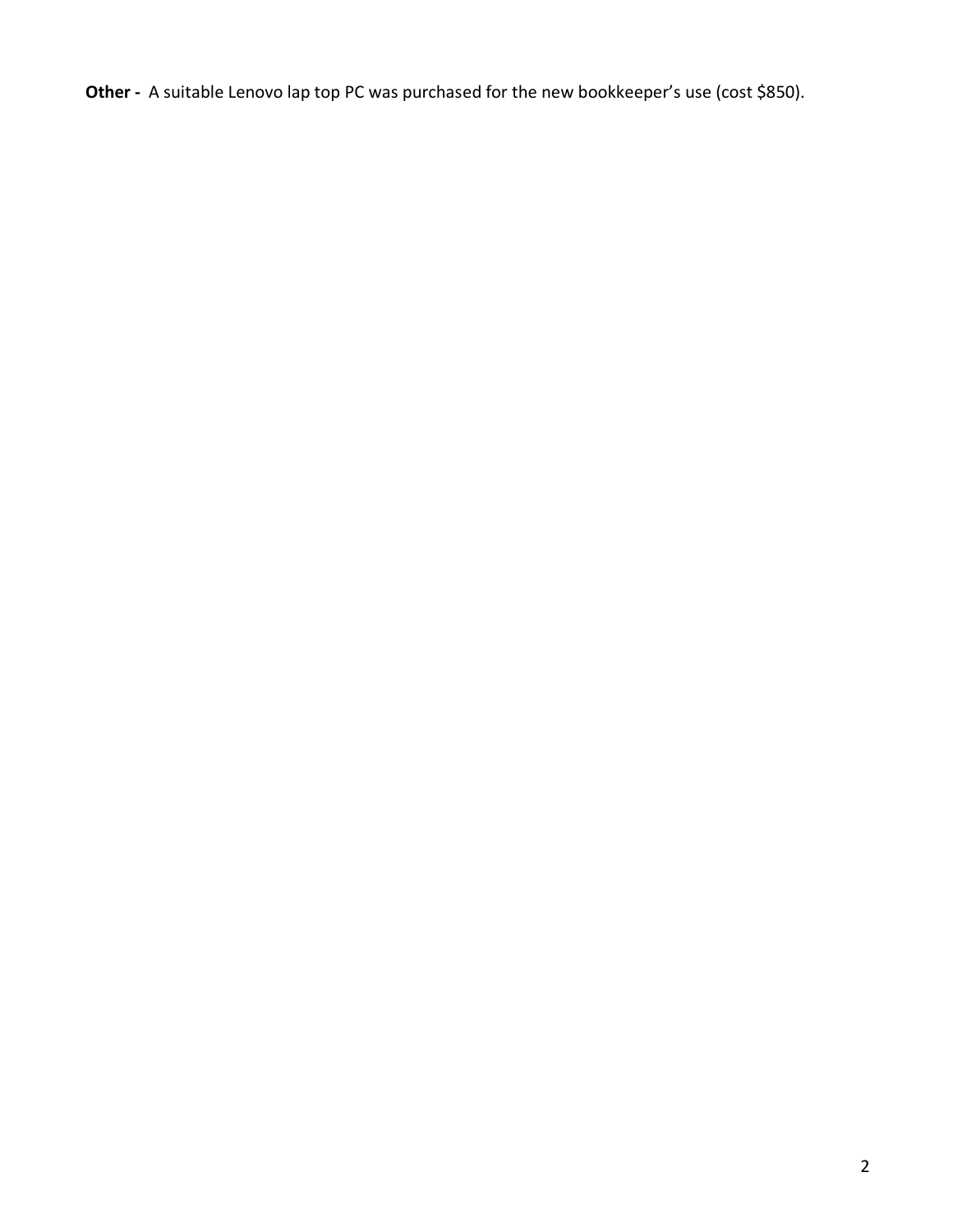**Other -** A suitable Lenovo lap top PC was purchased for the new bookkeeper's use (cost \$850).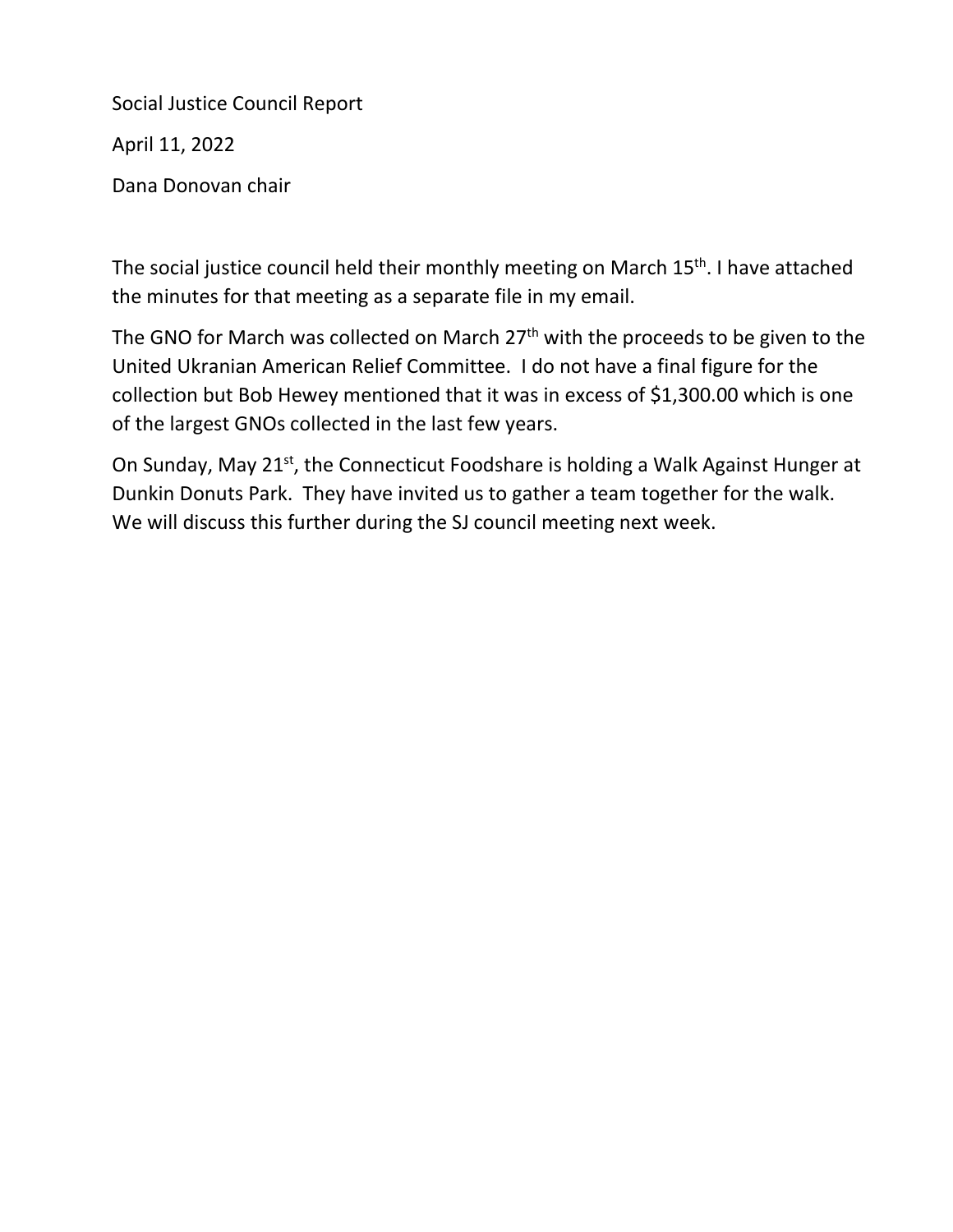Social Justice Council Report

April 11, 2022

Dana Donovan chair

The social justice council held their monthly meeting on March 15<sup>th</sup>. I have attached the minutes for that meeting as a separate file in my email.

The GNO for March was collected on March 27<sup>th</sup> with the proceeds to be given to the United Ukranian American Relief Committee. I do not have a final figure for the collection but Bob Hewey mentioned that it was in excess of \$1,300.00 which is one of the largest GNOs collected in the last few years.

On Sunday, May 21<sup>st</sup>, the Connecticut Foodshare is holding a Walk Against Hunger at Dunkin Donuts Park. They have invited us to gather a team together for the walk. We will discuss this further during the SJ council meeting next week.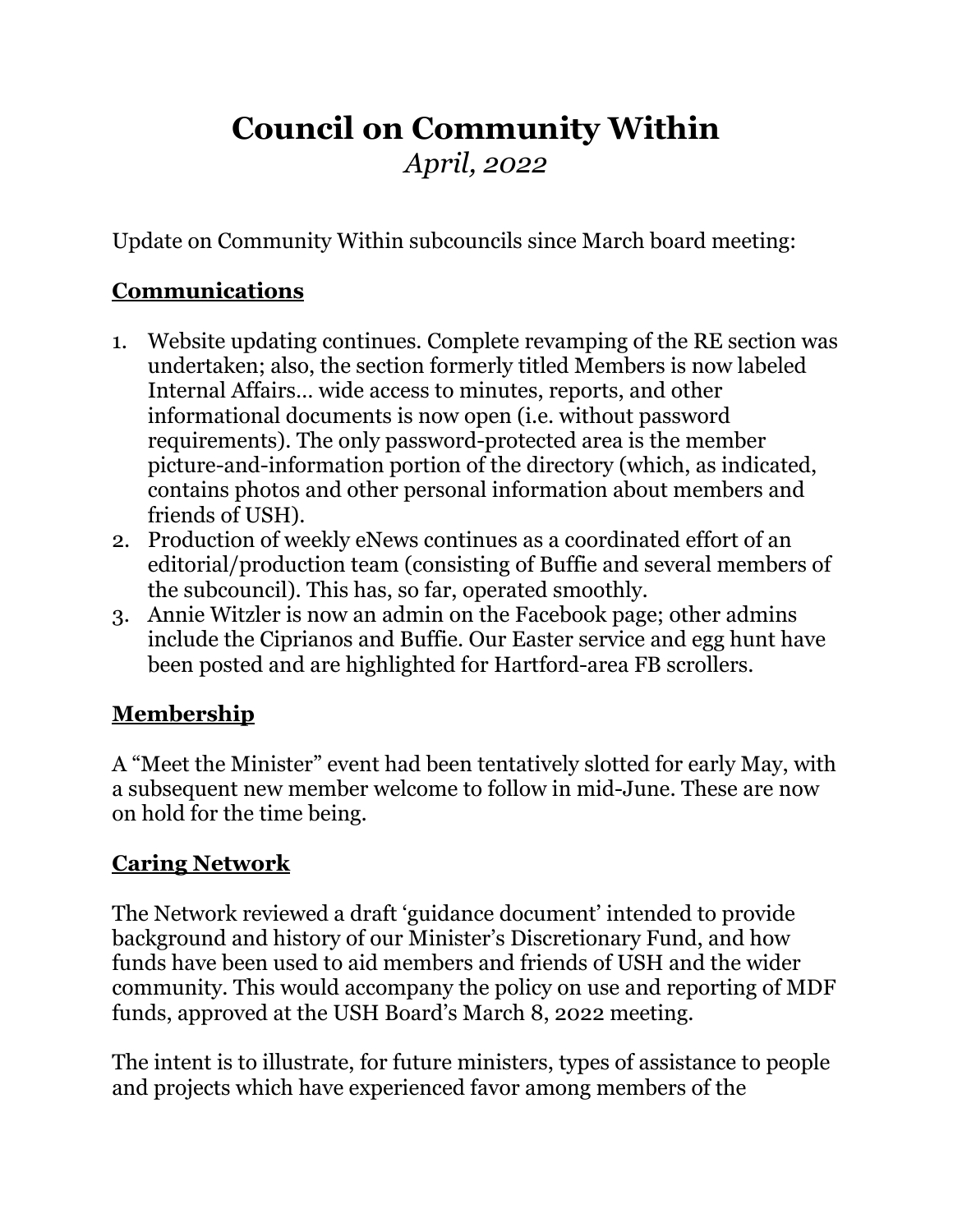# **Council on Community Within** *April, 2022*

Update on Community Within subcouncils since March board meeting:

### **Communications**

- 1. Website updating continues. Complete revamping of the RE section was undertaken; also, the section formerly titled Members is now labeled Internal Affairs… wide access to minutes, reports, and other informational documents is now open (i.e. without password requirements). The only password-protected area is the member picture-and-information portion of the directory (which, as indicated, contains photos and other personal information about members and friends of USH).
- 2. Production of weekly eNews continues as a coordinated effort of an editorial/production team (consisting of Buffie and several members of the subcouncil). This has, so far, operated smoothly.
- 3. Annie Witzler is now an admin on the Facebook page; other admins include the Ciprianos and Buffie. Our Easter service and egg hunt have been posted and are highlighted for Hartford-area FB scrollers.

## **Membership**

A "Meet the Minister" event had been tentatively slotted for early May, with a subsequent new member welcome to follow in mid-June. These are now on hold for the time being.

### **Caring Network**

The Network reviewed a draft 'guidance document' intended to provide background and history of our Minister's Discretionary Fund, and how funds have been used to aid members and friends of USH and the wider community. This would accompany the policy on use and reporting of MDF funds, approved at the USH Board's March 8, 2022 meeting.

The intent is to illustrate, for future ministers, types of assistance to people and projects which have experienced favor among members of the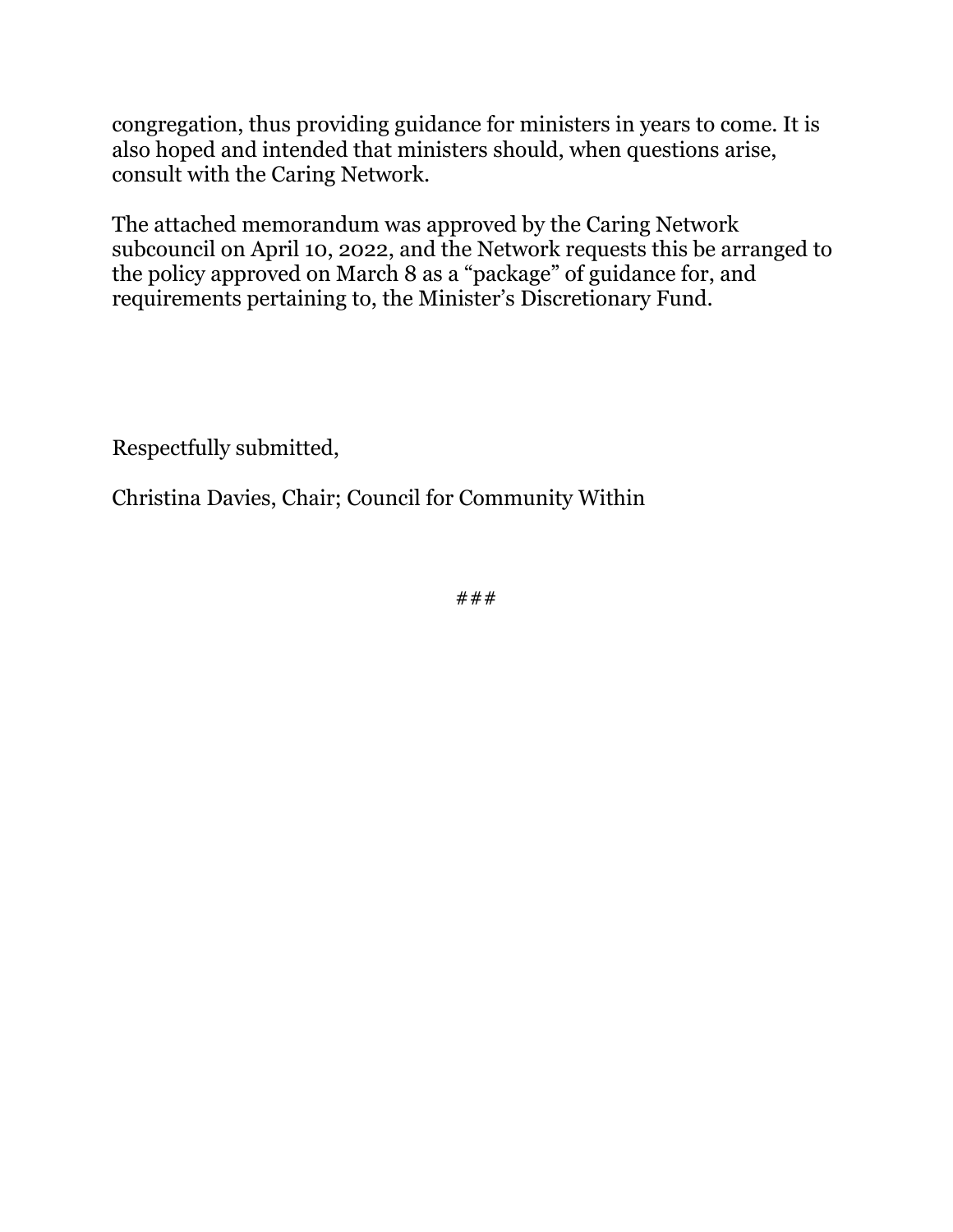congregation, thus providing guidance for ministers in years to come. It is also hoped and intended that ministers should, when questions arise, consult with the Caring Network.

The attached memorandum was approved by the Caring Network subcouncil on April 10, 2022, and the Network requests this be arranged to the policy approved on March 8 as a "package" of guidance for, and requirements pertaining to, the Minister's Discretionary Fund.

Respectfully submitted,

Christina Davies, Chair; Council for Community Within

###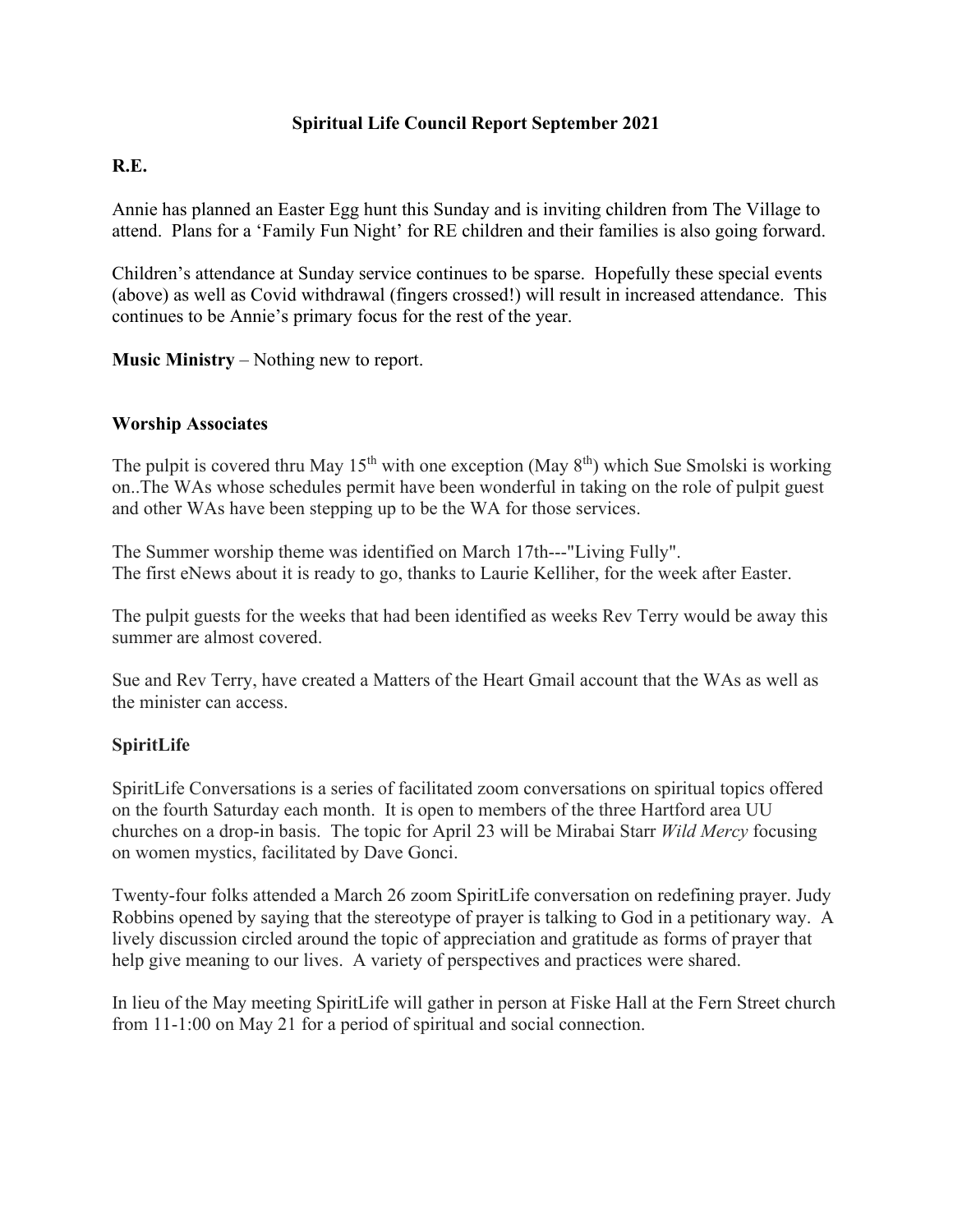### **Spiritual Life Council Report September 2021**

### **R.E.**

Annie has planned an Easter Egg hunt this Sunday and is inviting children from The Village to attend. Plans for a 'Family Fun Night' for RE children and their families is also going forward.

Children's attendance at Sunday service continues to be sparse. Hopefully these special events (above) as well as Covid withdrawal (fingers crossed!) will result in increased attendance. This continues to be Annie's primary focus for the rest of the year.

**Music Ministry** – Nothing new to report.

### **Worship Associates**

The pulpit is covered thru May 15<sup>th</sup> with one exception (May  $8<sup>th</sup>$ ) which Sue Smolski is working on..The WAs whose schedules permit have been wonderful in taking on the role of pulpit guest and other WAs have been stepping up to be the WA for those services.

The Summer worship theme was identified on March 17th---"Living Fully". The first eNews about it is ready to go, thanks to Laurie Kelliher, for the week after Easter.

The pulpit guests for the weeks that had been identified as weeks Rev Terry would be away this summer are almost covered.

Sue and Rev Terry, have created a Matters of the Heart Gmail account that the WAs as well as the minister can access.

### **SpiritLife**

SpiritLife Conversations is a series of facilitated zoom conversations on spiritual topics offered on the fourth Saturday each month. It is open to members of the three Hartford area UU churches on a drop-in basis. The topic for April 23 will be Mirabai Starr *Wild Mercy* focusing on women mystics, facilitated by Dave Gonci.

Twenty-four folks attended a March 26 zoom SpiritLife conversation on redefining prayer. Judy Robbins opened by saying that the stereotype of prayer is talking to God in a petitionary way. A lively discussion circled around the topic of appreciation and gratitude as forms of prayer that help give meaning to our lives. A variety of perspectives and practices were shared.

In lieu of the May meeting SpiritLife will gather in person at Fiske Hall at the Fern Street church from 11-1:00 on May 21 for a period of spiritual and social connection.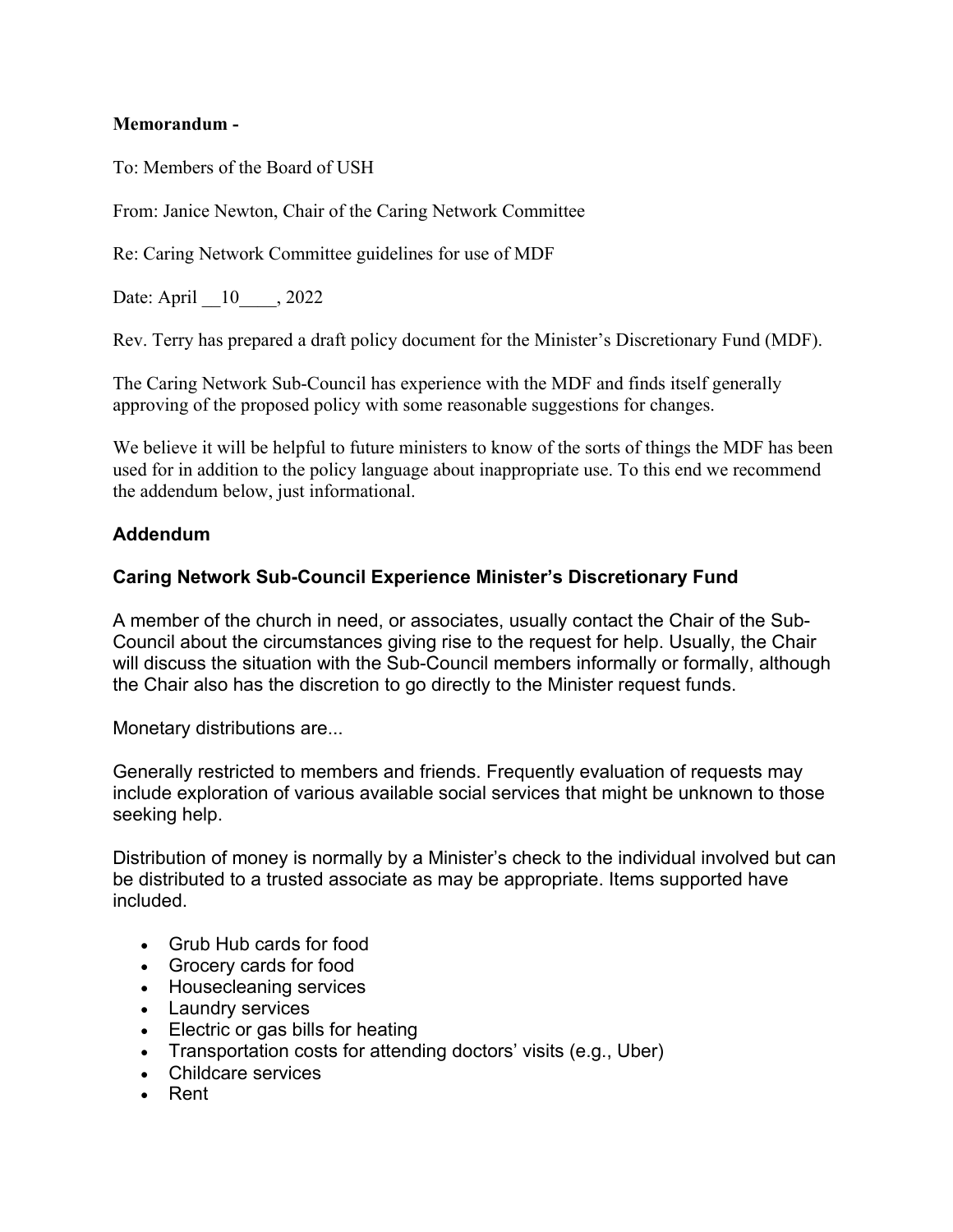### **Memorandum -**

To: Members of the Board of USH

From: Janice Newton, Chair of the Caring Network Committee

Re: Caring Network Committee guidelines for use of MDF

Date: April 10, 2022

Rev. Terry has prepared a draft policy document for the Minister's Discretionary Fund (MDF).

The Caring Network Sub-Council has experience with the MDF and finds itself generally approving of the proposed policy with some reasonable suggestions for changes.

We believe it will be helpful to future ministers to know of the sorts of things the MDF has been used for in addition to the policy language about inappropriate use. To this end we recommend the addendum below, just informational.

### **Addendum**

### **Caring Network Sub-Council Experience Minister's Discretionary Fund**

A member of the church in need, or associates, usually contact the Chair of the Sub-Council about the circumstances giving rise to the request for help. Usually, the Chair will discuss the situation with the Sub-Council members informally or formally, although the Chair also has the discretion to go directly to the Minister request funds.

Monetary distributions are...

Generally restricted to members and friends. Frequently evaluation of requests may include exploration of various available social services that might be unknown to those seeking help.

Distribution of money is normally by a Minister's check to the individual involved but can be distributed to a trusted associate as may be appropriate. Items supported have included.

- Grub Hub cards for food
- Grocery cards for food
- Housecleaning services
- Laundry services
- Electric or gas bills for heating
- Transportation costs for attending doctors' visits (e.g., Uber)
- Childcare services
- Rent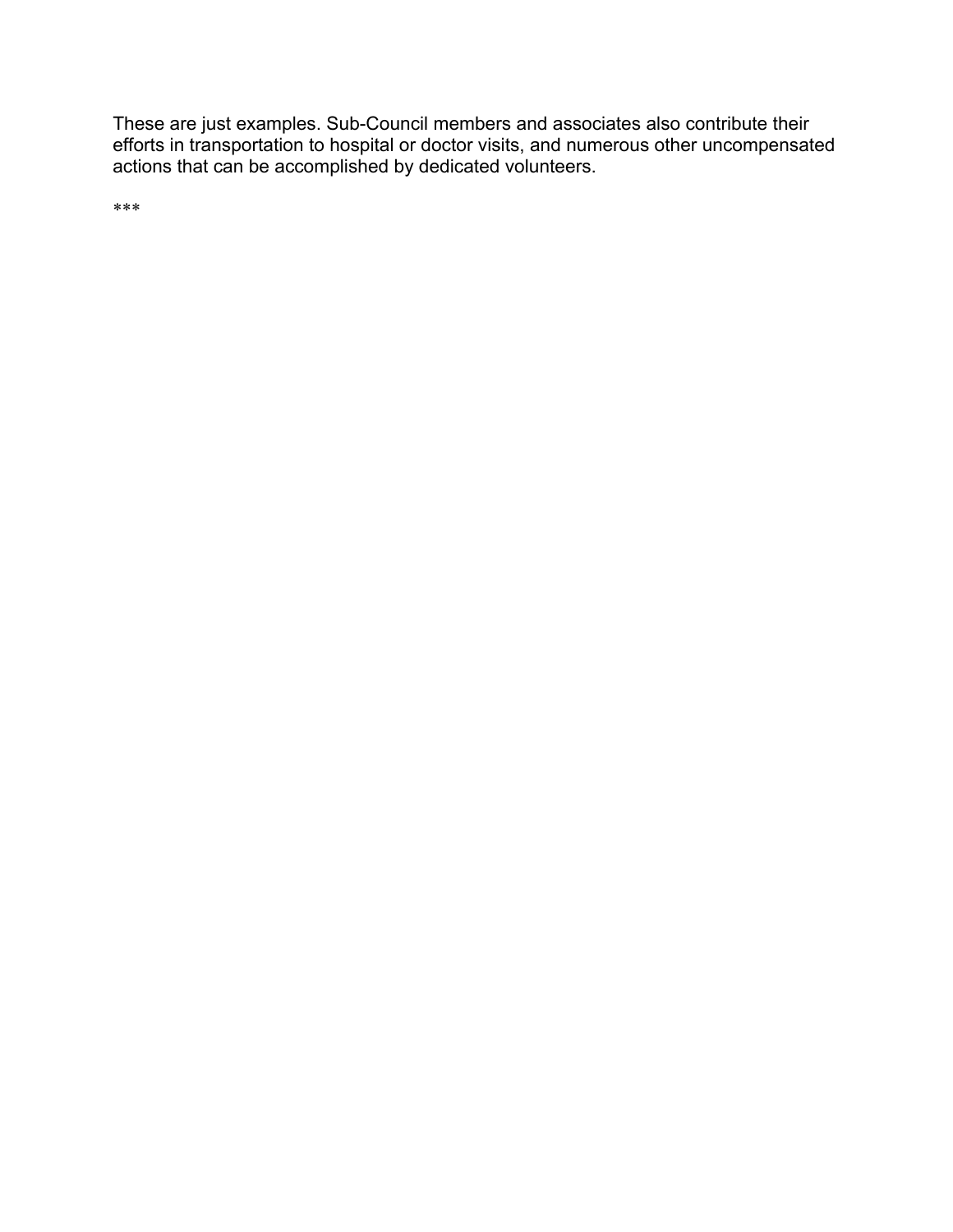These are just examples. Sub-Council members and associates also contribute their efforts in transportation to hospital or doctor visits, and numerous other uncompensated actions that can be accomplished by dedicated volunteers.

\*\*\*